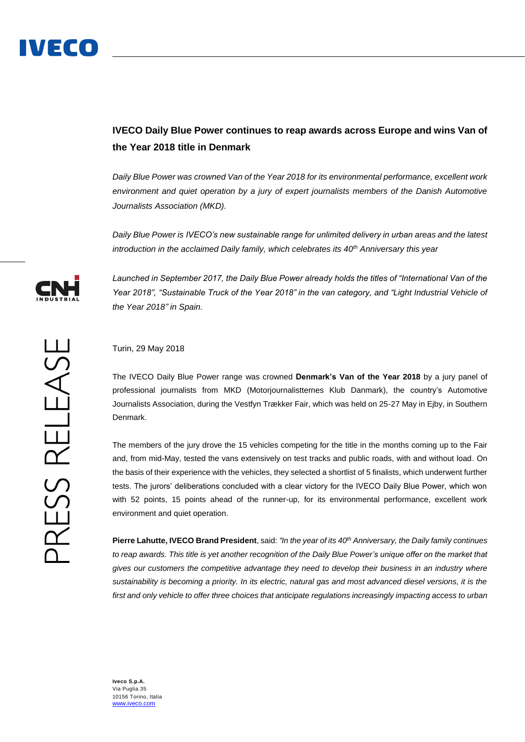

## **IVECO Daily Blue Power continues to reap awards across Europe and wins Van of the Year 2018 title in Denmark**

*Daily Blue Power was crowned Van of the Year 2018 for its environmental performance, excellent work environment and quiet operation by a jury of expert journalists members of the Danish Automotive Journalists Association (MKD).*

*Daily Blue Power is IVECO's new sustainable range for unlimited delivery in urban areas and the latest introduction in the acclaimed Daily family, which celebrates its 40th Anniversary this year*



*Launched in September 2017, the Daily Blue Power already holds the titles of "International Van of the Year 2018", "Sustainable Truck of the Year 2018" in the van category, and "Light Industrial Vehicle of the Year 2018" in Spain.*

## Turin, 29 May 2018

The IVECO Daily Blue Power range was crowned **Denmark's Van of the Year 2018** by a jury panel of professional journalists from MKD (Motorjournalistternes Klub Danmark), the country's Automotive Journalists Association, during the Vestfyn Trækker Fair, which was held on 25-27 May in Ejby, in Southern Denmark.

The members of the jury drove the 15 vehicles competing for the title in the months coming up to the Fair and, from mid-May, tested the vans extensively on test tracks and public roads, with and without load. On the basis of their experience with the vehicles, they selected a shortlist of 5 finalists, which underwent further tests. The jurors' deliberations concluded with a clear victory for the IVECO Daily Blue Power, which won with 52 points, 15 points ahead of the runner-up, for its environmental performance, excellent work environment and quiet operation.

**Pierre Lahutte, IVECO Brand President**, said: *"In the year of its 40th Anniversary, the Daily family continues to reap awards. This title is yet another recognition of the Daily Blue Power's unique offer on the market that gives our customers the competitive advantage they need to develop their business in an industry where sustainability is becoming a priority. In its electric, natural gas and most advanced diesel versions, it is the first and only vehicle to offer three choices that anticipate regulations increasingly impacting access to urban* 

**Iveco S.p.A.** Via Puglia 35 10156 Torino, Italia [www.iveco.com](http://www.iveco.com/)